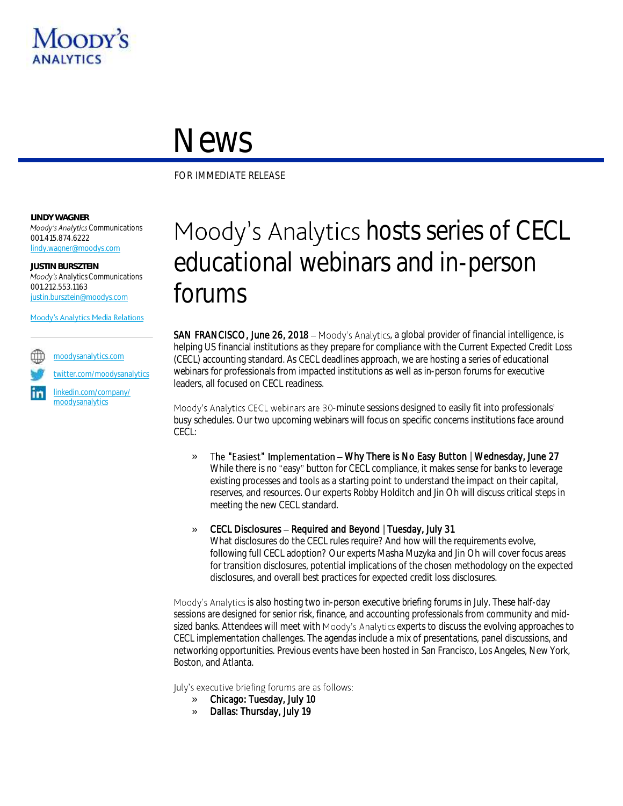

## News

FOR IMMEDIATE RELEASE

**LINDY WAGNER Moody's Analytics Communications** 001.415.874.6222 [lindy.wagner@moodys.com](mailto:lindy.wagner@moodys.com)

**JUSTIN BURSZTEIN** *Analytics Communications* 001.212.553.1163 [justin.bursztein@moodys.com](mailto:justin.bursztein@moodys.com)

Moody's Analytics Media Relations

[moodysanalytics.com](http://www.moodysanalytics.com/) [twitter.com/moodysanalytics](https://twitter.com/MoodysAnalytics)

[linkedin.com/company/](http://www.linkedin.com/company/moodysanalytics) [moodysanalytics](http://www.linkedin.com/company/moodysanalytics)

## Moody's Analytics hosts series of CECL educational webinars and in-person forums

SAN FRANCISCO, June 26, 2018 - Moody's Analytics, a global provider of financial intelligence, is helping US financial institutions as they prepare for compliance with the Current Expected Credit Loss (CECL) accounting standard. As CECL deadlines approach, we are hosting a series of educational webinars for professionals from impacted institutions as well as in-person forums for executive leaders, all focused on CECL readiness.

Moody's Analytics CECL webinars are 30-minute sessions designed to easily fit into professionals' busy schedules. Our two upcoming webinars will focus on specific concerns institutions face around CECL:

- » The "Easiest" Implementation Why There is No Easy Button | Wednesday, June 27 While there is no "easy" button for CECL compliance, it makes sense for banks to leverage existing processes and tools as a starting point to understand the impact on their capital, reserves, and resources. Our experts Robby Holditch and Jin Oh will discuss critical steps in meeting the new CECL standard.
- CECL Disclosures Required and Beyond | Tuesday, July 31

What disclosures do the CECL rules require? And how will the requirements evolve, following full CECL adoption? Our experts Masha Muzyka and Jin Oh will cover focus areas for transition disclosures, potential implications of the chosen methodology on the expected disclosures, and overall best practices for expected credit loss disclosures.

Moody's Analytics is also hosting two in-person executive briefing forums in July. These half-day sessions are designed for senior risk, finance, and accounting professionals from community and midsized banks. Attendees will meet with Moody's Analytics experts to discuss the evolving approaches to CECL implementation challenges. The agendas include a mix of presentations, panel discussions, and networking opportunities. Previous events have been hosted in San Francisco, Los Angeles, New York, Boston, and Atlanta.

July's executive briefing forums are as follows:

- » Chicago: Tuesday, July 10
- » Dallas: Thursday, July 19